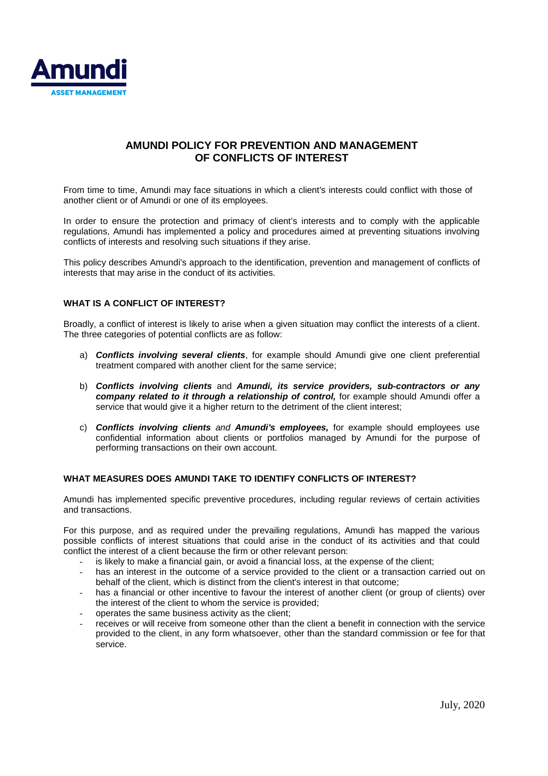

## **AMUNDI POLICY FOR PREVENTION AND MANAGEMENT OF CONFLICTS OF INTEREST**

From time to time, Amundi may face situations in which a client's interests could conflict with those of another client or of Amundi or one of its employees.

In order to ensure the protection and primacy of client's interests and to comply with the applicable regulations, Amundi has implemented a policy and procedures aimed at preventing situations involving conflicts of interests and resolving such situations if they arise.

This policy describes Amundi's approach to the identification, prevention and management of conflicts of interests that may arise in the conduct of its activities.

#### **WHAT IS A CONFLICT OF INTEREST?**

Broadly, a conflict of interest is likely to arise when a given situation may conflict the interests of a client. The three categories of potential conflicts are as follow:

- a) **Conflicts involving several clients**, for example should Amundi give one client preferential treatment compared with another client for the same service;
- b) **Conflicts involving clients** and **Amundi, its service providers, sub-contractors or any company related to it through a relationship of control,** for example should Amundi offer a service that would give it a higher return to the detriment of the client interest;
- c) **Conflicts involving clients** and **Amundi's employees,** for example should employees use confidential information about clients or portfolios managed by Amundi for the purpose of performing transactions on their own account.

## **WHAT MEASURES DOES AMUNDI TAKE TO IDENTIFY CONFLICTS OF INTEREST?**

Amundi has implemented specific preventive procedures, including regular reviews of certain activities and transactions.

For this purpose, and as required under the prevailing regulations, Amundi has mapped the various possible conflicts of interest situations that could arise in the conduct of its activities and that could conflict the interest of a client because the firm or other relevant person:

- is likely to make a financial gain, or avoid a financial loss, at the expense of the client;
- has an interest in the outcome of a service provided to the client or a transaction carried out on behalf of the client, which is distinct from the client's interest in that outcome;
- has a financial or other incentive to favour the interest of another client (or group of clients) over the interest of the client to whom the service is provided;
- operates the same business activity as the client;
- receives or will receive from someone other than the client a benefit in connection with the service provided to the client, in any form whatsoever, other than the standard commission or fee for that service.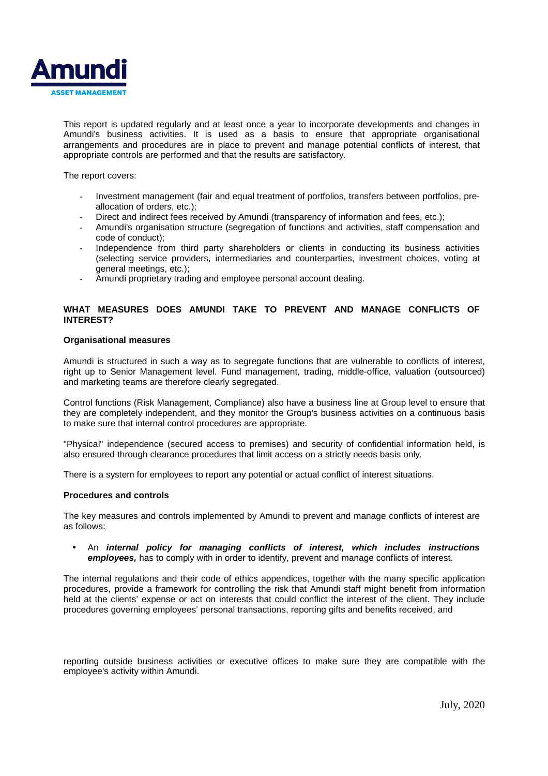

This report is updated regularly and at least once a year to incorporate developments and changes in Amundi's business activities. It is used as a basis to ensure that appropriate organisational arrangements and procedures are in place to prevent and manage potential conflicts of interest, that appropriate controls are performed and that the results are satisfactory.

The report covers:

- Investment management (fair and equal treatment of portfolios, transfers between portfolios, preallocation of orders, etc.);
- Direct and indirect fees received by Amundi (transparency of information and fees, etc.);
- Amundi's organisation structure (segregation of functions and activities, staff compensation and code of conduct);
- Independence from third party shareholders or clients in conducting its business activities (selecting service providers, intermediaries and counterparties, investment choices, voting at general meetings, etc.);
- Amundi proprietary trading and employee personal account dealing.

## **WHAT MEASURES DOES AMUNDI TAKE TO PREVENT AND MANAGE CONFLICTS OF INTEREST?**

#### **Organisational measures**

Amundi is structured in such a way as to segregate functions that are vulnerable to conflicts of interest, right up to Senior Management level. Fund management, trading, middle-office, valuation (outsourced) and marketing teams are therefore clearly segregated.

Control functions (Risk Management, Compliance) also have a business line at Group level to ensure that they are completely independent, and they monitor the Group's business activities on a continuous basis to make sure that internal control procedures are appropriate.

"Physical" independence (secured access to premises) and security of confidential information held, is also ensured through clearance procedures that limit access on a strictly needs basis only.

There is a system for employees to report any potential or actual conflict of interest situations.

#### **Procedures and controls**

The key measures and controls implemented by Amundi to prevent and manage conflicts of interest are as follows:

• An **internal policy for managing conflicts of interest, which includes instructions employees,** has to comply with in order to identify, prevent and manage conflicts of interest.

The internal regulations and their code of ethics appendices, together with the many specific application procedures, provide a framework for controlling the risk that Amundi staff might benefit from information held at the clients' expense or act on interests that could conflict the interest of the client. They include procedures governing employees' personal transactions, reporting gifts and benefits received, and

reporting outside business activities or executive offices to make sure they are compatible with the employee's activity within Amundi.